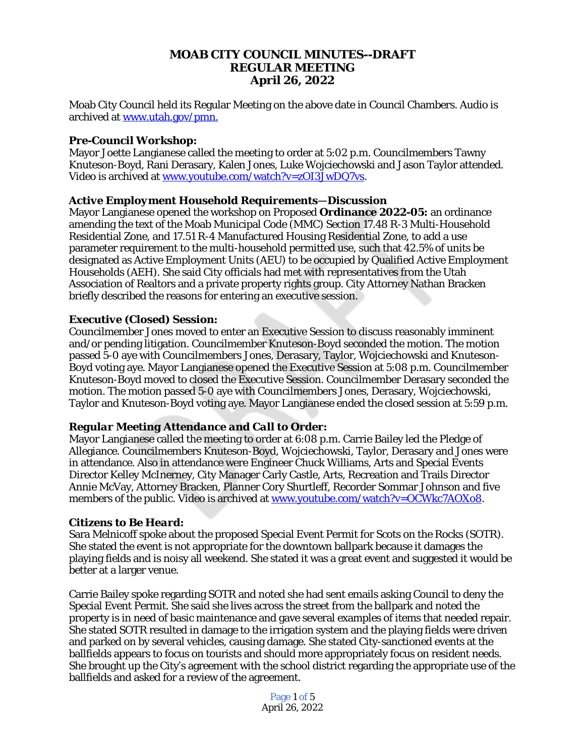## **MOAB CITY COUNCIL MINUTES--DRAFT REGULAR MEETING April 26, 2022**

Moab City Council held its Regular Meeting on the above date in Council Chambers. Audio is archived at [www.utah.gov/pmn.](file:///C:\\Users\\etallman\\Desktop\\Minutes\\www.utah.gov\\pmn)

### *Pre-Council Workshop:*

Mayor Joette Langianese called the meeting to order at 5:02 p.m. Councilmembers Tawny Knuteson-Boyd, Rani Derasary, Kalen Jones, Luke Wojciechowski and Jason Taylor attended. Video is archived at [www.youtube.com/watch?v=zOI3JwDQ7vs](http://www.youtube.com/watch?v=zOI3JwDQ7vs).

## *Active Employment Household Requirements—Discussion*

Mayor Langianese opened the workshop on Proposed **Ordinance 2022-05:** an ordinance amending the text of the Moab Municipal Code (MMC) Section 17.48 R-3 Multi-Household Residential Zone, and 17.51 R-4 Manufactured Housing Residential Zone, to add a use parameter requirement to the multi-household permitted use, such that 42.5% of units be designated as Active Employment Units (AEU) to be occupied by Qualified Active Employment Households (AEH). She said City officials had met with representatives from the Utah Association of Realtors and a private property rights group. City Attorney Nathan Bracken briefly described the reasons for entering an executive session.

## *Executive (Closed) Session:*

Councilmember Jones moved to enter an Executive Session to discuss reasonably imminent and/or pending litigation. Councilmember Knuteson-Boyd seconded the motion. The motion passed 5-0 aye with Councilmembers Jones, Derasary, Taylor, Wojciechowski and Knuteson-Boyd voting aye. Mayor Langianese opened the Executive Session at 5:08 p.m. Councilmember Knuteson-Boyd moved to closed the Executive Session. Councilmember Derasary seconded the motion. The motion passed 5-0 aye with Councilmembers Jones, Derasary, Wojciechowski, Taylor and Knuteson-Boyd voting aye. Mayor Langianese ended the closed session at 5:59 p.m.

#### *Regular Meeting Attendance and Call to Order:*

Mayor Langianese called the meeting to order at 6:08 p.m. Carrie Bailey led the Pledge of Allegiance. Councilmembers Knuteson-Boyd, Wojciechowski, Taylor, Derasary and Jones were in attendance. Also in attendance were Engineer Chuck Williams, Arts and Special Events Director Kelley McInerney, City Manager Carly Castle, Arts, Recreation and Trails Director Annie McVay, Attorney Bracken, Planner Cory Shurtleff, Recorder Sommar Johnson and five members of the public. Video is archived at [www.youtube.com/watch?v=OCWkc7AOXo8](http://www.youtube.com/watch?v=OCWkc7AOXo8).

#### *Citizens to Be Heard:*

Sara Melnicoff spoke about the proposed Special Event Permit for Scots on the Rocks (SOTR). She stated the event is not appropriate for the downtown ballpark because it damages the playing fields and is noisy all weekend. She stated it was a great event and suggested it would be better at a larger venue.

Carrie Bailey spoke regarding SOTR and noted she had sent emails asking Council to deny the Special Event Permit. She said she lives across the street from the ballpark and noted the property is in need of basic maintenance and gave several examples of items that needed repair. She stated SOTR resulted in damage to the irrigation system and the playing fields were driven and parked on by several vehicles, causing damage. She stated City-sanctioned events at the ballfields appears to focus on tourists and should more appropriately focus on resident needs. She brought up the City's agreement with the school district regarding the appropriate use of the ballfields and asked for a review of the agreement.

> Page 1 of 5 April 26, 2022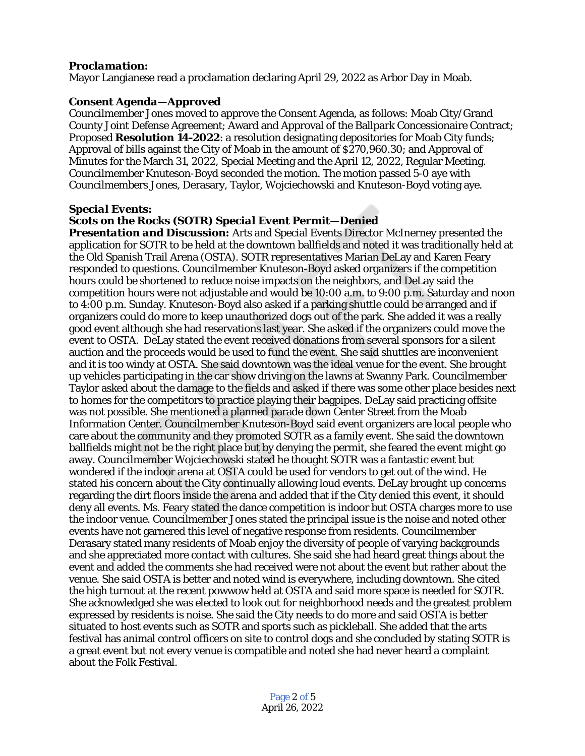## *Proclamation:*

Mayor Langianese read a proclamation declaring April 29, 2022 as Arbor Day in Moab.

### *Consent Agenda—Approved*

Councilmember Jones moved to approve the Consent Agenda, as follows: Moab City/Grand County Joint Defense Agreement; Award and Approval of the Ballpark Concessionaire Contract; Proposed **Resolution 14-2022**: a resolution designating depositories for Moab City funds; Approval of bills against the City of Moab in the amount of \$270,960.30; and Approval of Minutes for the March 31, 2022, Special Meeting and the April 12, 2022, Regular Meeting. Councilmember Knuteson-Boyd seconded the motion. The motion passed 5-0 aye with Councilmembers Jones, Derasary, Taylor, Wojciechowski and Knuteson-Boyd voting aye.

#### *Special Events:*

## *Scots on the Rocks (SOTR) Special Event Permit—Denied*

*Presentation and Discussion:* Arts and Special Events Director McInerney presented the application for SOTR to be held at the downtown ballfields and noted it was traditionally held at the Old Spanish Trail Arena (OSTA). SOTR representatives Marian DeLay and Karen Feary responded to questions. Councilmember Knuteson-Boyd asked organizers if the competition hours could be shortened to reduce noise impacts on the neighbors, and DeLay said the competition hours were not adjustable and would be 10:00 a.m. to 9:00 p.m. Saturday and noon to 4:00 p.m. Sunday. Knuteson-Boyd also asked if a parking shuttle could be arranged and if organizers could do more to keep unauthorized dogs out of the park. She added it was a really good event although she had reservations last year. She asked if the organizers could move the event to OSTA. DeLay stated the event received donations from several sponsors for a silent auction and the proceeds would be used to fund the event. She said shuttles are inconvenient and it is too windy at OSTA. She said downtown was the ideal venue for the event. She brought up vehicles participating in the car show driving on the lawns at Swanny Park. Councilmember Taylor asked about the damage to the fields and asked if there was some other place besides next to homes for the competitors to practice playing their bagpipes. DeLay said practicing offsite was not possible. She mentioned a planned parade down Center Street from the Moab Information Center. Councilmember Knuteson-Boyd said event organizers are local people who care about the community and they promoted SOTR as a family event. She said the downtown ballfields might not be the right place but by denying the permit, she feared the event might go away. Councilmember Wojciechowski stated he thought SOTR was a fantastic event but wondered if the indoor arena at OSTA could be used for vendors to get out of the wind. He stated his concern about the City continually allowing loud events. DeLay brought up concerns regarding the dirt floors inside the arena and added that if the City denied this event, it should deny all events. Ms. Feary stated the dance competition is indoor but OSTA charges more to use the indoor venue. Councilmember Jones stated the principal issue is the noise and noted other events have not garnered this level of negative response from residents. Councilmember Derasary stated many residents of Moab enjoy the diversity of people of varying backgrounds and she appreciated more contact with cultures. She said she had heard great things about the event and added the comments she had received were not about the event but rather about the venue. She said OSTA is better and noted wind is everywhere, including downtown. She cited the high turnout at the recent powwow held at OSTA and said more space is needed for SOTR. She acknowledged she was elected to look out for neighborhood needs and the greatest problem expressed by residents is noise. She said the City needs to do more and said OSTA is better situated to host events such as SOTR and sports such as pickleball. She added that the arts festival has animal control officers on site to control dogs and she concluded by stating SOTR is a great event but not every venue is compatible and noted she had never heard a complaint about the Folk Festival.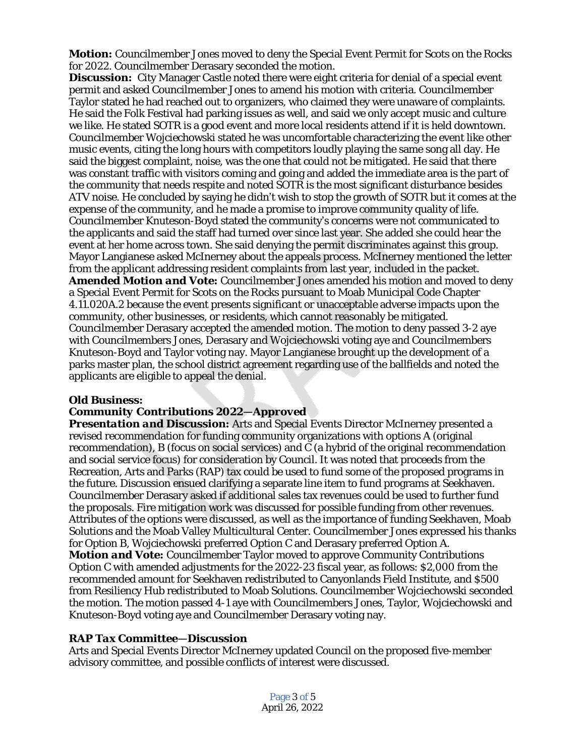*Motion:* Councilmember Jones moved to deny the Special Event Permit for Scots on the Rocks for 2022. Councilmember Derasary seconded the motion.

**Discussion:** City Manager Castle noted there were eight criteria for denial of a special event permit and asked Councilmember Jones to amend his motion with criteria. Councilmember Taylor stated he had reached out to organizers, who claimed they were unaware of complaints. He said the Folk Festival had parking issues as well, and said we only accept music and culture we like. He stated SOTR is a good event and more local residents attend if it is held downtown. Councilmember Wojciechowski stated he was uncomfortable characterizing the event like other music events, citing the long hours with competitors loudly playing the same song all day. He said the biggest complaint, noise, was the one that could not be mitigated. He said that there was constant traffic with visitors coming and going and added the immediate area is the part of the community that needs respite and noted SOTR is the most significant disturbance besides ATV noise. He concluded by saying he didn't wish to stop the growth of SOTR but it comes at the expense of the community, and he made a promise to improve community quality of life. Councilmember Knuteson-Boyd stated the community's concerns were not communicated to the applicants and said the staff had turned over since last year. She added she could hear the event at her home across town. She said denying the permit discriminates against this group. Mayor Langianese asked McInerney about the appeals process. McInerney mentioned the letter from the applicant addressing resident complaints from last year, included in the packet. *Amended Motion and Vote:* Councilmember Jones amended his motion and moved to deny a Special Event Permit for Scots on the Rocks pursuant to Moab Municipal Code Chapter 4.11.020A.2 because the event presents significant or unacceptable adverse impacts upon the community, other businesses, or residents, which cannot reasonably be mitigated. Councilmember Derasary accepted the amended motion. The motion to deny passed 3-2 aye with Councilmembers Jones, Derasary and Wojciechowski voting aye and Councilmembers Knuteson-Boyd and Taylor voting nay. Mayor Langianese brought up the development of a parks master plan, the school district agreement regarding use of the ballfields and noted the applicants are eligible to appeal the denial.

#### *Old Business:*

#### *Community Contributions 2022—Approved*

*Presentation and Discussion:* Arts and Special Events Director McInerney presented a revised recommendation for funding community organizations with options A (original recommendation), B (focus on social services) and C (a hybrid of the original recommendation and social service focus) for consideration by Council. It was noted that proceeds from the Recreation, Arts and Parks (RAP) tax could be used to fund some of the proposed programs in the future. Discussion ensued clarifying a separate line item to fund programs at Seekhaven. Councilmember Derasary asked if additional sales tax revenues could be used to further fund the proposals. Fire mitigation work was discussed for possible funding from other revenues. Attributes of the options were discussed, as well as the importance of funding Seekhaven, Moab Solutions and the Moab Valley Multicultural Center. Councilmember Jones expressed his thanks for Option B, Wojciechowski preferred Option C and Derasary preferred Option A. *Motion and Vote:* Councilmember Taylor moved to approve Community Contributions Option C with amended adjustments for the 2022-23 fiscal year, as follows: \$2,000 from the recommended amount for Seekhaven redistributed to Canyonlands Field Institute, and \$500 from Resiliency Hub redistributed to Moab Solutions. Councilmember Wojciechowski seconded the motion. The motion passed 4-1 aye with Councilmembers Jones, Taylor, Wojciechowski and Knuteson-Boyd voting aye and Councilmember Derasary voting nay.

#### *RAP Tax Committee—Discussion*

Arts and Special Events Director McInerney updated Council on the proposed five-member advisory committee, and possible conflicts of interest were discussed.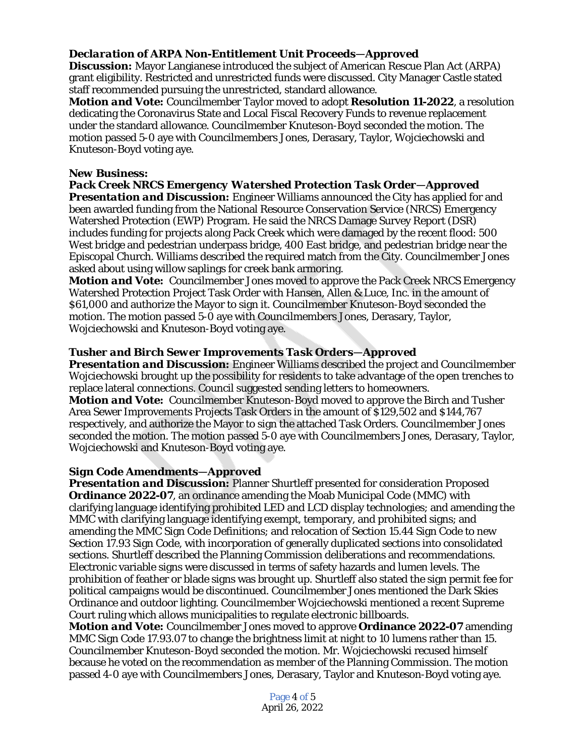## *Declaration of ARPA Non-Entitlement Unit Proceeds—Approved*

**Discussion:** Mayor Langianese introduced the subject of American Rescue Plan Act (ARPA) grant eligibility. Restricted and unrestricted funds were discussed. City Manager Castle stated staff recommended pursuing the unrestricted, standard allowance.

*Motion and Vote:* Councilmember Taylor moved to adopt **Resolution 11-2022**, a resolution dedicating the Coronavirus State and Local Fiscal Recovery Funds to revenue replacement under the standard allowance. Councilmember Knuteson-Boyd seconded the motion. The motion passed 5-0 aye with Councilmembers Jones, Derasary, Taylor, Wojciechowski and Knuteson-Boyd voting aye.

## *New Business:*

# *Pack Creek NRCS Emergency Watershed Protection Task Order—Approved*

*Presentation and Discussion:* Engineer Williams announced the City has applied for and been awarded funding from the National Resource Conservation Service (NRCS) Emergency Watershed Protection (EWP) Program. He said the NRCS Damage Survey Report (DSR) includes funding for projects along Pack Creek which were damaged by the recent flood: 500 West bridge and pedestrian underpass bridge, 400 East bridge, and pedestrian bridge near the Episcopal Church. Williams described the required match from the City. Councilmember Jones asked about using willow saplings for creek bank armoring.

*Motion and Vote:* Councilmember Jones moved to approve the Pack Creek NRCS Emergency Watershed Protection Project Task Order with Hansen, Allen & Luce, Inc. in the amount of \$61,000 and authorize the Mayor to sign it. Councilmember Knuteson-Boyd seconded the motion. The motion passed 5-0 aye with Councilmembers Jones, Derasary, Taylor, Wojciechowski and Knuteson-Boyd voting aye.

## *Tusher and Birch Sewer Improvements Task Orders—Approved*

*Presentation and Discussion:* Engineer Williams described the project and Councilmember Wojciechowski brought up the possibility for residents to take advantage of the open trenches to replace lateral connections. Council suggested sending letters to homeowners. *Motion and Vote:* Councilmember Knuteson-Boyd moved to approve the Birch and Tusher Area Sewer Improvements Projects Task Orders in the amount of \$129,502 and \$144,767 respectively, and authorize the Mayor to sign the attached Task Orders. Councilmember Jones seconded the motion. The motion passed 5-0 aye with Councilmembers Jones, Derasary, Taylor, Wojciechowski and Knuteson-Boyd voting aye.

#### *Sign Code Amendments—Approved*

*Presentation and Discussion:* Planner Shurtleff presented for consideration Proposed **Ordinance 2022-07**, an ordinance amending the Moab Municipal Code (MMC) with clarifying language identifying prohibited LED and LCD display technologies; and amending the MMC with clarifying language identifying exempt, temporary, and prohibited signs; and amending the MMC Sign Code Definitions; and relocation of Section 15.44 Sign Code to new Section 17.93 Sign Code, with incorporation of generally duplicated sections into consolidated sections. Shurtleff described the Planning Commission deliberations and recommendations. Electronic variable signs were discussed in terms of safety hazards and lumen levels. The prohibition of feather or blade signs was brought up. Shurtleff also stated the sign permit fee for political campaigns would be discontinued. Councilmember Jones mentioned the Dark Skies Ordinance and outdoor lighting. Councilmember Wojciechowski mentioned a recent Supreme Court ruling which allows municipalities to regulate electronic billboards.

*Motion and Vote:* Councilmember Jones moved to approve **Ordinance 2022-07** amending MMC Sign Code 17.93.07 to change the brightness limit at night to 10 lumens rather than 15. Councilmember Knuteson-Boyd seconded the motion. Mr. Wojciechowski recused himself because he voted on the recommendation as member of the Planning Commission. The motion passed 4-0 aye with Councilmembers Jones, Derasary, Taylor and Knuteson-Boyd voting aye.